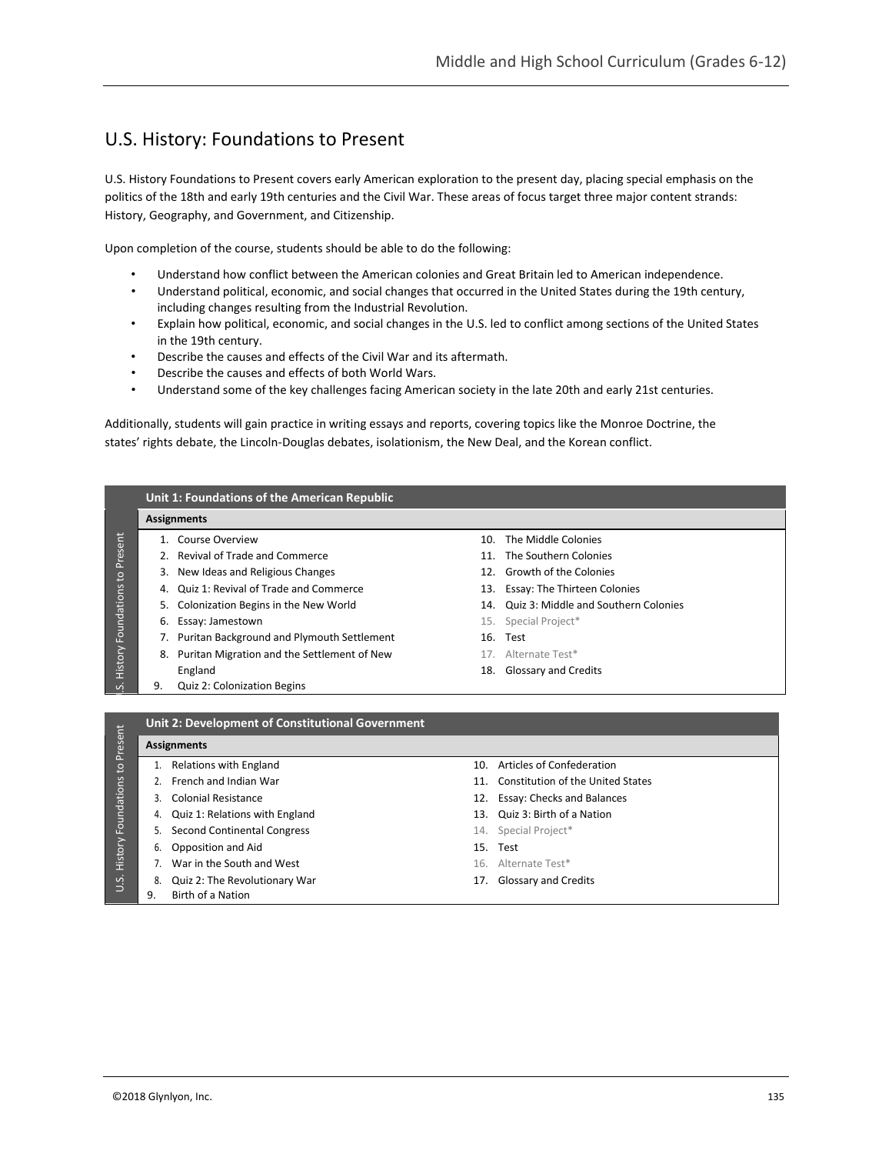## U.S. History: Foundations to Present

U.S. History Foundations to Present covers early American exploration to the present day, placing special emphasis on the politics of the 18th and early 19th centuries and the Civil War. These areas of focus target three major content strands: History, Geography, and Government, and Citizenship.

Upon completion of the course, students should be able to do the following:

- Understand how conflict between the American colonies and Great Britain led to American independence.
- Understand political, economic, and social changes that occurred in the United States during the 19th century, including changes resulting from the Industrial Revolution.
- Explain how political, economic, and social changes in the U.S. led to conflict among sections of the United States in the 19th century.
- Describe the causes and effects of the Civil War and its aftermath.
- Describe the causes and effects of both World Wars.
- Understand some of the key challenges facing American society in the late 20th and early 21st centuries.

Additionally, students will gain practice in writing essays and reports, covering topics like the Monroe Doctrine, the states' rights debate, the Lincoln-Douglas debates, isolationism, the New Deal, and the Korean conflict.



- 
- 
- 9. Birth of a Nation
- 8. Quiz 2: The Revolutionary War 17. Glossary and Credits

U.S.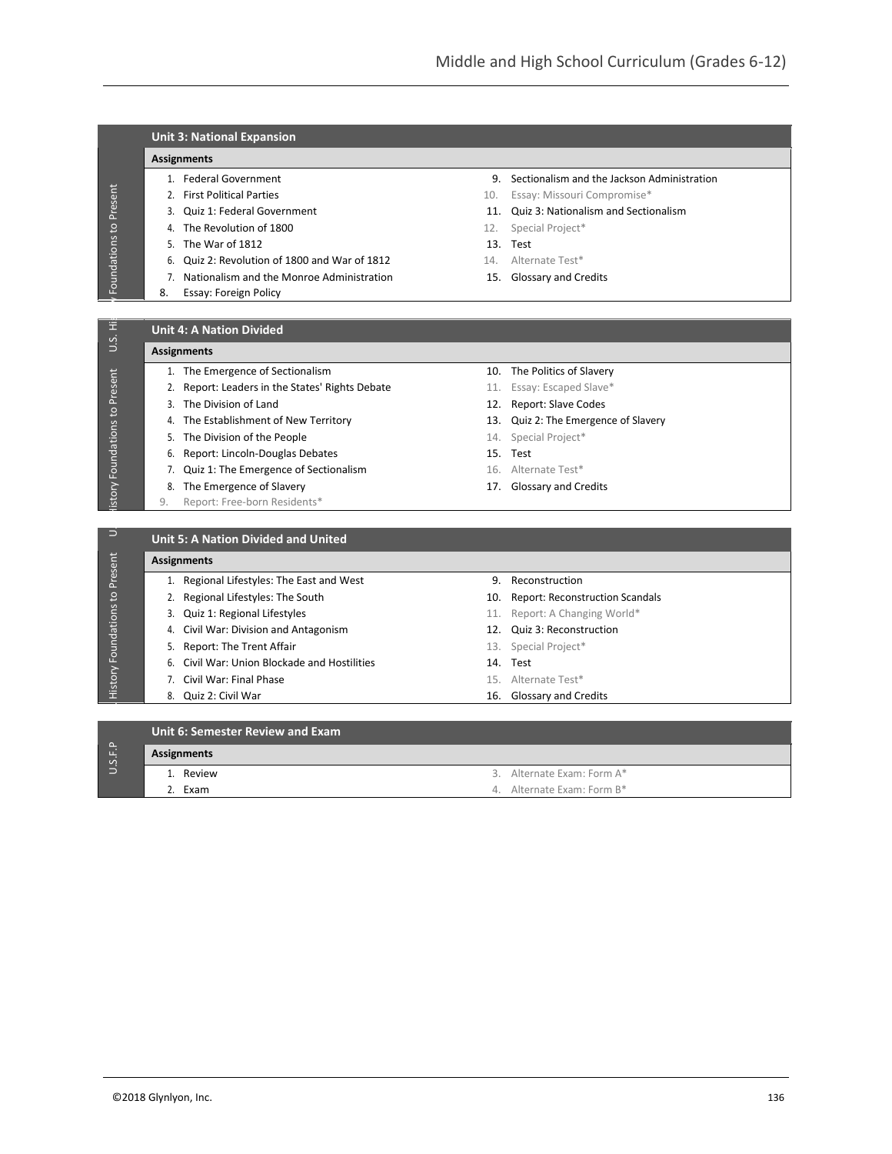| <b>Unit 3: National Expansion</b> |  |
|-----------------------------------|--|
|-----------------------------------|--|

## **Assignments**

- 
- 
- 
- 
- 5. The War of 1812 13. Test
- 6. Quiz 2: Revolution of 1800 and War of 1812 14. Alternate Test\*
- 7. Nationalism and the Monroe Administration 15. Glossary and Credits
- 8. Essay: Foreign Policy
- 1. Federal Government 9. Sectionalism and the Jackson Administration
- 2. First Political Parties **10. Essay: Missouri Compromise**\*
- 3. Quiz 1: Federal Government 11. Quiz 3: Nationalism and Sectionalism
- 4. The Revolution of 1800 12. Special Project\*
	-
	-
	-

## **Unit 4: A Nation Divided**

- **Assignments**
	- 1. The Emergence of Sectionalism 10. The Politics of Slavery
	- 2. Report: Leaders in the States' Rights Debate 11. Essay: Escaped Slave\*
	-
	-
	- 5. The Division of the People 14. Special Project\*
	- 6. Report: Lincoln-Douglas Debates 15. Test
	- 7. Quiz 1: The Emergence of Sectionalism 16. Alternate Test\*
	- 8. The Emergence of Slavery **17.** Glossary and Credits
	- 9. Report: Free-born Residents\*
- 
- 
- 3. The Division of Land 12. Report: Slave Codes
- 4. The Establishment of New Territory 13. Quiz 2: The Emergence of Slavery
	-
	-
	-
	-

| $\overline{\phantom{a}}$ |                    | <b>Unit 5: A Nation Divided and United</b>                        |     |                                        |  |  |
|--------------------------|--------------------|-------------------------------------------------------------------|-----|----------------------------------------|--|--|
| Present                  | <b>Assignments</b> |                                                                   |     |                                        |  |  |
|                          |                    | 1. Regional Lifestyles: The East and West                         | 9.  | Reconstruction                         |  |  |
| $\frac{1}{2}$            |                    | 2. Regional Lifestyles: The South                                 | 10. | <b>Report: Reconstruction Scandals</b> |  |  |
|                          |                    | 3. Quiz 1: Regional Lifestyles                                    | 11. | Report: A Changing World*              |  |  |
|                          |                    | 4. Civil War: Division and Antagonism                             |     | 12. Quiz 3: Reconstruction             |  |  |
| History Foundations      |                    | 5. Report: The Trent Affair                                       |     | 13. Special Project*                   |  |  |
|                          |                    | 6. Civil War: Union Blockade and Hostilities                      |     | 14. Test                               |  |  |
|                          |                    | 7. Civil War: Final Phase                                         |     | 15. Alternate Test*                    |  |  |
|                          | Q                  | $Q_{\text{min}}$ $Q_{\text{t}}$ $Q_{\text{total}}$ $M_{\text{t}}$ |     | 16 Clossonuand Crodits                 |  |  |

- 
- 6. Civil War: Union Blockade and Hostilities 14. Test
- 
- 
- 
- 
- -
- 
- 7. Civil War: Final Phase 15. Alternate Test\*
- 8. Quiz 2: Civil War 16. Glossary and Credits

| Foundations to Present         | 2. First Political Parties                       | 10. | Essay: Missouri Compromise*              |  |
|--------------------------------|--------------------------------------------------|-----|------------------------------------------|--|
|                                | Quiz 1: Federal Government<br>3.                 |     | 11. Quiz 3: Nationalism and Sectionalism |  |
|                                | The Revolution of 1800<br>4.                     | 12. | Special Project*                         |  |
|                                | The War of 1812<br>5.                            |     | 13. Test                                 |  |
|                                | Quiz 2: Revolution of 1800 and War of 1812<br>6. | 14. | Alternate Test*                          |  |
|                                | Nationalism and the Monroe Administration<br>7.  |     | 15. Glossary and Credits                 |  |
|                                | 8.<br>Essay: Foreign Policy                      |     |                                          |  |
|                                |                                                  |     |                                          |  |
| U.S. His                       | <b>Unit 4: A Nation Divided</b>                  |     |                                          |  |
|                                | <b>Assignments</b>                               |     |                                          |  |
|                                | 1. The Emergence of Sectionalism                 |     | 10. The Politics of Slavery              |  |
|                                | 2. Report: Leaders in the States' Rights Debate  |     | 11. Essay: Escaped Slave*                |  |
|                                | 3. The Division of Land                          |     | 12. Report: Slave Codes                  |  |
|                                | 4. The Establishment of New Territory            |     | 13. Quiz 2: The Emergence of Slavery     |  |
|                                | 5. The Division of the People                    |     | 14. Special Project*                     |  |
|                                | 6. Report: Lincoln-Douglas Debates               |     | 15. Test                                 |  |
|                                | 7. Quiz 1: The Emergence of Sectionalism         |     | 16. Alternate Test*                      |  |
| istory Foundations to Present  | 8. The Emergence of Slavery                      |     | 17. Glossary and Credits                 |  |
|                                | Report: Free-born Residents*<br>9.               |     |                                          |  |
|                                |                                                  |     |                                          |  |
| $\supset$                      | <b>Unit 5: A Nation Divided and United</b>       |     |                                          |  |
| History Foundations to Present | <b>Assignments</b>                               |     |                                          |  |
|                                | 1. Regional Lifestyles: The East and West        |     | 9. Reconstruction                        |  |
|                                | 2. Regional Lifestyles: The South                | 10. | <b>Report: Reconstruction Scandals</b>   |  |
|                                | 3. Quiz 1: Regional Lifestyles                   |     | 11. Report: A Changing World*            |  |
|                                | 4. Civil War: Division and Antagonism            |     | 12. Quiz 3: Reconstruction               |  |
|                                | Report: The Trent Affair<br>5.                   |     | 13. Special Project*                     |  |
|                                | Civil War: Union Blockade and Hostilities<br>6.  |     | 14. Test                                 |  |
|                                | 7. Civil War: Final Phase                        |     | 15. Alternate Test*                      |  |
|                                | 8. Quiz 2: Civil War                             |     | 16. Glossary and Credits                 |  |
|                                |                                                  |     |                                          |  |
|                                | Unit 6: Semester Review and Exam                 |     |                                          |  |
| U.S.F.P                        | <b>Assignments</b>                               |     |                                          |  |
|                                | 1. Review                                        |     | 3. Alternate Exam: Form A*               |  |
|                                | 2. Exam                                          |     | 4. Alternate Exam: Form B*               |  |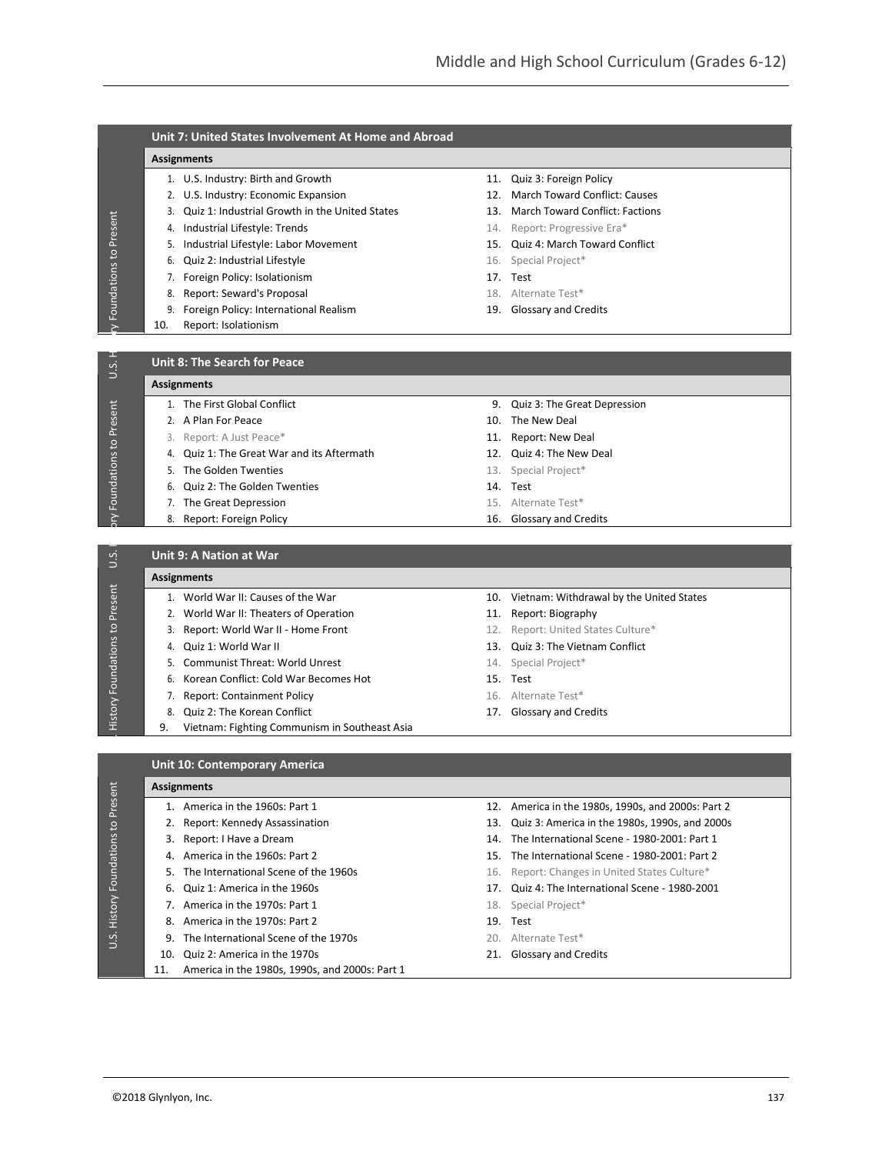|                                    | <b>Unit 7: United States Involvement At Home and Abroad</b>                   |                                                       |
|------------------------------------|-------------------------------------------------------------------------------|-------------------------------------------------------|
|                                    | <b>Assignments</b>                                                            |                                                       |
|                                    | 1. U.S. Industry: Birth and Growth                                            | 11. Quiz 3: Foreign Policy                            |
|                                    | 2. U.S. Industry: Economic Expansion                                          | <b>March Toward Conflict: Causes</b><br>12.           |
|                                    | 3. Quiz 1: Industrial Growth in the United States                             | 13. March Toward Conflict: Factions                   |
| Foundations to Present             | Industrial Lifestyle: Trends<br>4.                                            | 14. Report: Progressive Era*                          |
|                                    | 5. Industrial Lifestyle: Labor Movement                                       | 15. Quiz 4: March Toward Conflict                     |
|                                    | Quiz 2: Industrial Lifestyle<br>6.                                            | 16. Special Project*                                  |
|                                    | 7. Foreign Policy: Isolationism                                               | 17. Test                                              |
|                                    | Report: Seward's Proposal<br>8.                                               | 18. Alternate Test*                                   |
|                                    | 9. Foreign Policy: International Realism                                      | 19. Glossary and Credits                              |
| $\geq$                             | Report: Isolationism<br>10.                                                   |                                                       |
| U.S.                               | <b>Unit 8: The Search for Peace</b>                                           |                                                       |
|                                    | <b>Assignments</b>                                                            |                                                       |
|                                    | 1. The First Global Conflict                                                  | 9. Quiz 3: The Great Depression                       |
|                                    | 2. A Plan For Peace                                                           | 10. The New Deal                                      |
|                                    | 3. Report: A Just Peace*                                                      | 11. Report: New Deal                                  |
|                                    | 4. Quiz 1: The Great War and its Aftermath                                    | 12. Quiz 4: The New Deal                              |
|                                    | 5. The Golden Twenties                                                        | 13. Special Project*                                  |
|                                    | Quiz 2: The Golden Twenties<br>6.                                             | 14. Test                                              |
| Foundations to Present             | 7. The Great Depression                                                       | 15. Alternate Test*                                   |
|                                    | Report: Foreign Policy<br>8.                                                  | 16.<br>Glossary and Credits                           |
| U.S.                               | <b>Unit 9: A Nation at War</b>                                                |                                                       |
|                                    | <b>Assignments</b>                                                            |                                                       |
|                                    | 1. World War II: Causes of the War                                            | 10. Vietnam: Withdrawal by the United States          |
|                                    | 2. World War II: Theaters of Operation                                        | 11. Report: Biography                                 |
|                                    | 3. Report: World War II - Home Front                                          | 12. Report: United States Culture*                    |
|                                    | 4. Quiz 1: World War II                                                       | 13. Quiz 3: The Vietnam Conflict                      |
|                                    | Communist Threat: World Unrest<br>5.                                          | 14. Special Project*                                  |
|                                    | Korean Conflict: Cold War Becomes Hot<br>6.                                   | 15. Test                                              |
|                                    | 7. Report: Containment Policy                                                 | 16. Alternate Test*                                   |
| History Foundations to Present     | Quiz 2: The Korean Conflict<br>8.                                             | 17. Glossary and Credits                              |
|                                    | 9.<br>Vietnam: Fighting Communism in Southeast Asia                           |                                                       |
|                                    |                                                                               |                                                       |
|                                    | <b>Unit 10: Contemporary America</b>                                          |                                                       |
|                                    | <b>Assignments</b>                                                            |                                                       |
|                                    | 1. America in the 1960s: Part 1                                               | 12. America in the 1980s, 1990s, and 2000s: Part 2    |
|                                    | 2. Report: Kennedy Assassination                                              | 13.<br>Quiz 3: America in the 1980s, 1990s, and 2000s |
|                                    | 3. Report: I Have a Dream                                                     | The International Scene - 1980-2001: Part 1<br>14.    |
|                                    | America in the 1960s: Part 2<br>4.                                            | 15.<br>The International Scene - 1980-2001: Part 2    |
|                                    | 5. The International Scene of the 1960s                                       | Report: Changes in United States Culture*<br>16.      |
|                                    | Quiz 1: America in the 1960s<br>6.                                            | 17.<br>Quiz 4: The International Scene - 1980-2001    |
|                                    | 7. America in the 1970s: Part 1                                               | Special Project*<br>18.                               |
| U.S. History Foundations to Preser | America in the 1970s: Part 2<br>8.<br>9. The International Scene of the 1970s | 19. Test                                              |

9. The International Scene of the 1970s 20. Alternate Test\* 10. Quiz 2: America in the 1970s 21. Glossary and Credits

11. America in the 1980s, 1990s, and 2000s: Part 1

 $\frac{1}{2}$